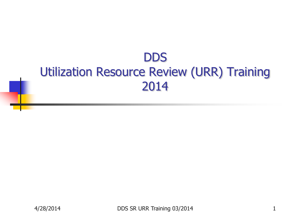#### **DDS** Utilization Resource Review (URR) Training 2014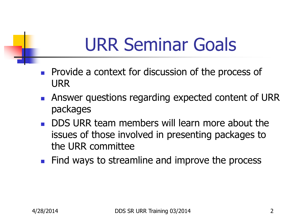# URR Seminar Goals

- **Provide a context for discussion of the process of** URR
- **Answer questions regarding expected content of URR** packages
- DDS URR team members will learn more about the issues of those involved in presenting packages to the URR committee
- **Find ways to streamline and improve the process**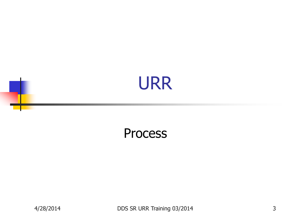### URR

#### **Process**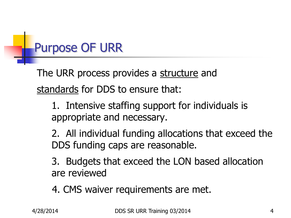### Purpose OF URR

The URR process provides a structure and standards for DDS to ensure that:

1. Intensive staffing support for individuals is appropriate and necessary.

2. All individual funding allocations that exceed the DDS funding caps are reasonable.

3. Budgets that exceed the LON based allocation are reviewed

4. CMS waiver requirements are met.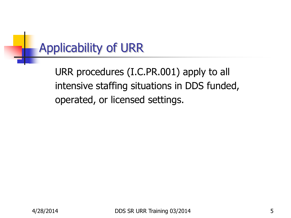### Applicability of URR

URR procedures (I.C.PR.001) apply to all intensive staffing situations in DDS funded, operated, or licensed settings.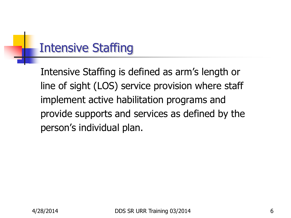#### Intensive Staffing

Intensive Staffing is defined as arm's length or line of sight (LOS) service provision where staff implement active habilitation programs and provide supports and services as defined by the person's individual plan.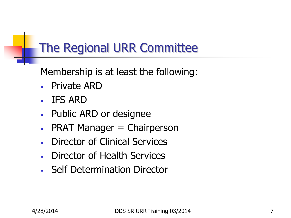#### The Regional URR Committee

Membership is at least the following:

- Private ARD
- IFS ARD
- Public ARD or designee
- $\blacksquare$  PRAT Manager = Chairperson
- Director of Clinical Services
- Director of Health Services
- **Self Determination Director**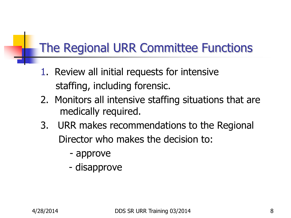#### The Regional URR Committee Functions

- 1. Review all initial requests for intensive staffing, including forensic.
- 2. Monitors all intensive staffing situations that are medically required.
- 3. URR makes recommendations to the Regional Director who makes the decision to:
	- approve
	- disapprove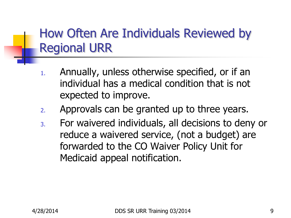#### How Often Are Individuals Reviewed by Regional URR

- 1. Annually, unless otherwise specified, or if an individual has a medical condition that is not expected to improve.
- 2. Approvals can be granted up to three years.
- 3. For waivered individuals, all decisions to deny or reduce a waivered service, (not a budget) are forwarded to the CO Waiver Policy Unit for Medicaid appeal notification.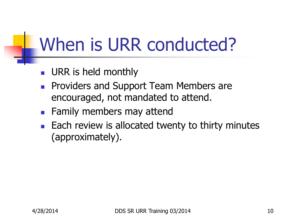# When is URR conducted?

- **URR is held monthly**
- **Providers and Support Team Members are** encouraged, not mandated to attend.
- **Family members may attend**
- $\blacksquare$  Each review is allocated twenty to thirty minutes (approximately).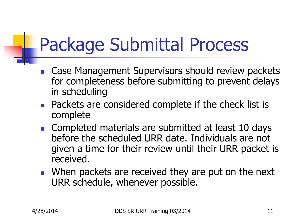# Package Submittal Process

- Case Management Supervisors should review packets for completeness before submitting to prevent delays in scheduling
- **Packets are considered complete if the check list is** complete
- Completed materials are submitted at least 10 days before the scheduled URR date. Individuals are not given a time for their review until their URR packet is received.
- **Notal Exercise 19 In Artic Contains 1** When packets are received they are put on the next URR schedule, whenever possible.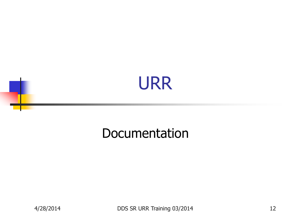### URR

#### Documentation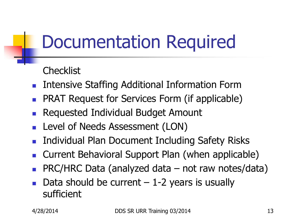# Documentation Required

**Checklist** 

- **Intensive Staffing Additional Information Form**
- PRAT Request for Services Form (if applicable)
- Requested Individual Budget Amount
- **Level of Needs Assessment (LON)**
- **Individual Plan Document Including Safety Risks**
- **Current Behavioral Support Plan (when applicable)**
- PRC/HRC Data (analyzed data not raw notes/data)
- Data should be current  $-1-2$  years is usually sufficient

4/28/2014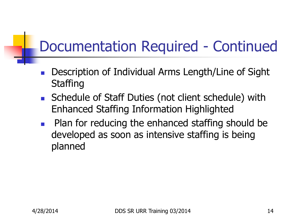### Documentation Required - Continued

- Description of Individual Arms Length/Line of Sight **Staffing**
- Schedule of Staff Duties (not client schedule) with Enhanced Staffing Information Highlighted
- Plan for reducing the enhanced staffing should be developed as soon as intensive staffing is being planned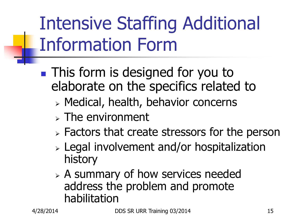# Intensive Staffing Additional Information Form

- **This form is designed for you to** elaborate on the specifics related to
	- Medical, health, behavior concerns
	- $\triangleright$  The environment
	- $\triangleright$  Factors that create stressors for the person
	- Legal involvement and/or hospitalization history
	- $\triangleright$  A summary of how services needed address the problem and promote habilitation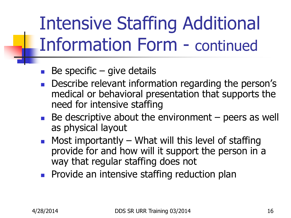Intensive Staffing Additional Information Form - continued

- Be specific  $-$  give details
- **Describe relevant information regarding the person's** medical or behavioral presentation that supports the need for intensive staffing
- $\blacksquare$  Be descriptive about the environment  $-$  peers as well as physical layout
- $\blacksquare$  Most importantly What will this level of staffing provide for and how will it support the person in a way that regular staffing does not
- **Provide an intensive staffing reduction plan**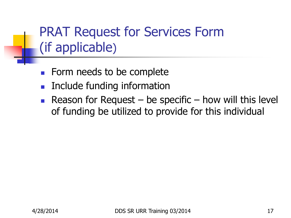#### PRAT Request for Services Form (if applicable)

- **Form needs to be complete**
- **Include funding information**
- Reason for Request be specific how will this level of funding be utilized to provide for this individual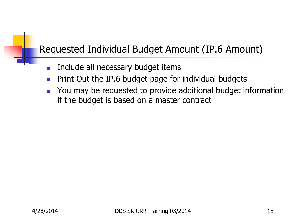#### Requested Individual Budget Amount (IP.6 Amount)

- **Include all necessary budget items**
- **Print Out the IP.6 budget page for individual budgets**
- You may be requested to provide additional budget information if the budget is based on a master contract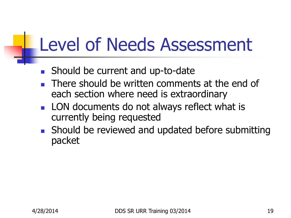# Level of Needs Assessment

- Should be current and up-to-date
- There should be written comments at the end of each section where need is extraordinary
- **LON** documents do not always reflect what is currently being requested
- **Should be reviewed and updated before submitting** packet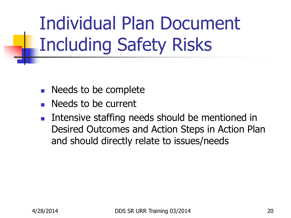Individual Plan Document Including Safety Risks

- **Needs to be complete**
- Needs to be current
- **Intensive staffing needs should be mentioned in** Desired Outcomes and Action Steps in Action Plan and should directly relate to issues/needs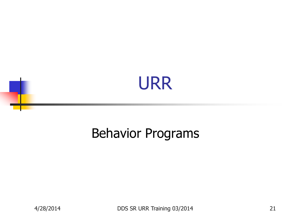

#### Behavior Programs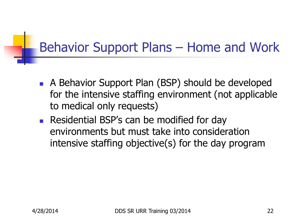#### Behavior Support Plans – Home and Work

- A Behavior Support Plan (BSP) should be developed for the intensive staffing environment (not applicable to medical only requests)
- **Residential BSP's can be modified for day** environments but must take into consideration intensive staffing objective(s) for the day program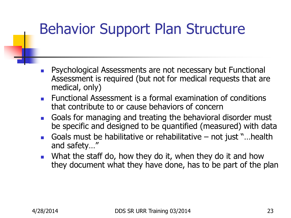### Behavior Support Plan Structure

- Psychological Assessments are not necessary but Functional Assessment is required (but not for medical requests that are medical, only)
- **Functional Assessment is a formal examination of conditions** that contribute to or cause behaviors of concern
- Goals for managing and treating the behavioral disorder must be specific and designed to be quantified (measured) with data
- Goals must be habilitative or rehabilitative not just "…health and safety…"
- **Notable Stamary Now they do it, when they do it and how** they document what they have done, has to be part of the plan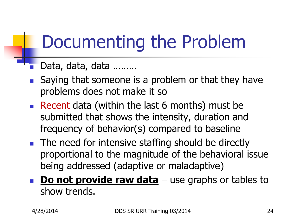# Documenting the Problem

#### Data, data, data ………

- Saying that someone is a problem or that they have problems does not make it so
- Recent data (within the last 6 months) must be submitted that shows the intensity, duration and frequency of behavior(s) compared to baseline
- The need for intensive staffing should be directly proportional to the magnitude of the behavioral issue being addressed (adaptive or maladaptive)
- **Do not provide raw data** use graphs or tables to show trends.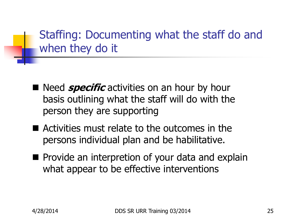Staffing: Documenting what the staff do and when they do it

- Need *specific* activities on an hour by hour basis outlining what the staff will do with the person they are supporting
- Activities must relate to the outcomes in the persons individual plan and be habilitative.
- **Provide an interpretion of your data and explain** what appear to be effective interventions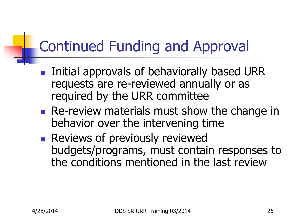### Continued Funding and Approval

- **Initial approvals of behaviorally based URR** requests are re-reviewed annually or as required by the URR committee
- **Re-review materials must show the change in** behavior over the intervening time
- **Reviews of previously reviewed** budgets/programs, must contain responses to the conditions mentioned in the last review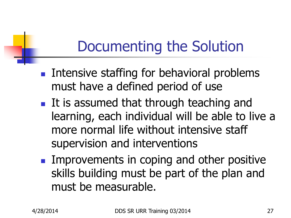### Documenting the Solution

- **Intensive staffing for behavioral problems** must have a defined period of use
- **If is assumed that through teaching and** learning, each individual will be able to live a more normal life without intensive staff supervision and interventions
- **IMPROVEMENTS IN COPING AND OTHER POSITIVE** skills building must be part of the plan and must be measurable.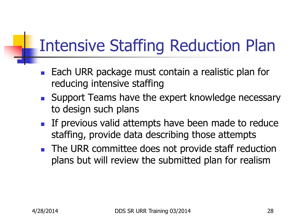## Intensive Staffing Reduction Plan

- **Each URR package must contain a realistic plan for** reducing intensive staffing
- Support Teams have the expert knowledge necessary to design such plans
- If previous valid attempts have been made to reduce staffing, provide data describing those attempts
- The URR committee does not provide staff reduction plans but will review the submitted plan for realism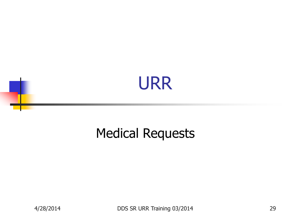

#### Medical Requests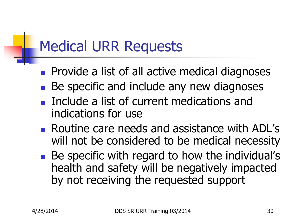### Medical URR Requests

- **Provide a list of all active medical diagnoses**
- Be specific and include any new diagnoses
- **Include a list of current medications and** indications for use
- **Routine care needs and assistance with ADL's** will not be considered to be medical necessity
- Be specific with regard to how the individual's health and safety will be negatively impacted by not receiving the requested support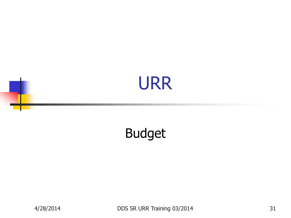### URR

#### Budget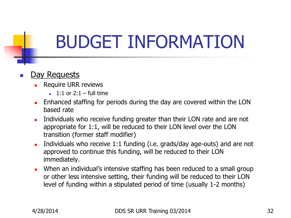# BUDGET INFORMATION

#### Day Requests

- Require URR reviews
	- $\blacksquare$  1:1 or 2:1 full time
- **Enhanced staffing for periods during the day are covered within the LON** based rate
- Individuals who receive funding greater than their LON rate and are not appropriate for 1:1, will be reduced to their LON level over the LON transition (former staff modifier)
- Individuals who receive 1:1 funding (i.e. grads/day age-outs) and are not approved to continue this funding, will be reduced to their LON immediately.
- **Notally 1.5 Septem** When an individual's intensive staffing has been reduced to a small group or other less intensive setting, their funding will be reduced to their LON level of funding within a stipulated period of time (usually 1-2 months)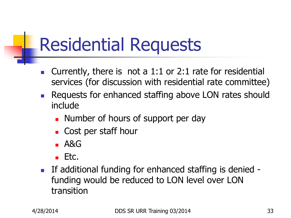# Residential Requests

- **Currently, there is not a 1:1 or 2:1 rate for residential** services (for discussion with residential rate committee)
- **Requests for enhanced staffing above LON rates should** include
	- **Number of hours of support per day**
	- **Cost per staff hour**
	- $-$  A&G
	- $Ectc.$
- If additional funding for enhanced staffing is denied funding would be reduced to LON level over LON transition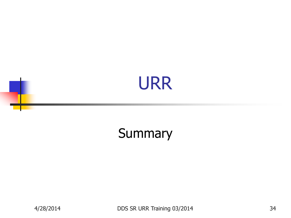### URR

#### Summary